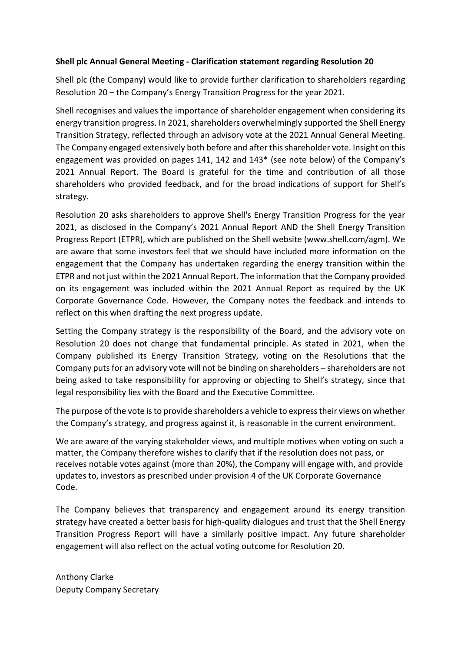# **Shell plc Annual General Meeting - Clarification statement regarding Resolution 20**

Shell plc (the Company) would like to provide further clarification to shareholders regarding Resolution 20 – the Company's Energy Transition Progress for the year 2021.

Shell recognises and values the importance of shareholder engagement when considering its energy transition progress. In 2021, shareholders overwhelmingly supported the Shell Energy Transition Strategy, reflected through an advisory vote at the 2021 Annual General Meeting. The Company engaged extensively both before and after this shareholder vote. Insight on this engagement was provided on pages 141, 142 and 143\* (see note below) of the Company's 2021 Annual Report. The Board is grateful for the time and contribution of all those shareholders who provided feedback, and for the broad indications of support for Shell's strategy.

Resolution 20 asks shareholders to approve Shell's Energy Transition Progress for the year 2021, as disclosed in the Company's 2021 Annual Report AND the Shell Energy Transition Progress Report (ETPR), which are published on the Shell website [\(www.shell.com/agm\)](http://www.shell.com/agm). We are aware that some investors feel that we should have included more information on the engagement that the Company has undertaken regarding the energy transition within the ETPR and not just within the 2021 Annual Report. The information that the Company provided on its engagement was included within the 2021 Annual Report as required by the UK Corporate Governance Code. However, the Company notes the feedback and intends to reflect on this when drafting the next progress update.

Setting the Company strategy is the responsibility of the Board, and the advisory vote on Resolution 20 does not change that fundamental principle. As stated in 2021, when the Company published its Energy Transition Strategy, voting on the Resolutions that the Company puts for an advisory vote will not be binding on shareholders – shareholders are not being asked to take responsibility for approving or objecting to Shell's strategy, since that legal responsibility lies with the Board and the Executive Committee.

The purpose of the vote is to provide shareholders a vehicle to express their views on whether the Company's strategy, and progress against it, is reasonable in the current environment.

We are aware of the varying stakeholder views, and multiple motives when voting on such a matter, the Company therefore wishes to clarify that if the resolution does not pass, or receives notable votes against (more than 20%), the Company will engage with, and provide updates to, investors as prescribed under provision 4 of the UK Corporate Governance Code.

The Company believes that transparency and engagement around its energy transition strategy have created a better basis for high-quality dialogues and trust that the Shell Energy Transition Progress Report will have a similarly positive impact. Any future shareholder engagement will also reflect on the actual voting outcome for Resolution 20.

Anthony Clarke Deputy Company Secretary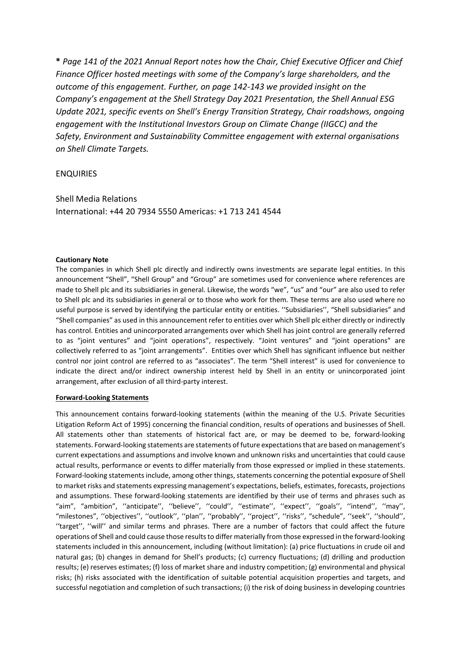**\*** *Page 141 of the 2021 Annual Report notes how the Chair, Chief Executive Officer and Chief Finance Officer hosted meetings with some of the Company's large shareholders, and the outcome of this engagement. Further, on page 142-143 we provided insight on the Company's engagement at the Shell Strategy Day 2021 Presentation, the Shell Annual ESG Update 2021, specific events on Shell's Energy Transition Strategy, Chair roadshows, ongoing engagement with the Institutional Investors Group on Climate Change (IIGCC) and the Safety, Environment and Sustainability Committee engagement with external organisations on Shell Climate Targets.*

## ENQUIRIES

Shell Media Relations

International: +44 20 7934 5550 Americas: +1 713 241 4544

### **Cautionary Note**

The companies in which Shell plc directly and indirectly owns investments are separate legal entities. In this announcement "Shell", "Shell Group" and "Group" are sometimes used for convenience where references are made to Shell plc and its subsidiaries in general. Likewise, the words "we", "us" and "our" are also used to refer to Shell plc and its subsidiaries in general or to those who work for them. These terms are also used where no useful purpose is served by identifying the particular entity or entities. ''Subsidiaries'', "Shell subsidiaries" and "Shell companies" as used in this announcement refer to entities over which Shell plc either directly or indirectly has control. Entities and unincorporated arrangements over which Shell has joint control are generally referred to as "joint ventures" and "joint operations", respectively. "Joint ventures" and "joint operations" are collectively referred to as "joint arrangements". Entities over which Shell has significant influence but neither control nor joint control are referred to as "associates". The term "Shell interest" is used for convenience to indicate the direct and/or indirect ownership interest held by Shell in an entity or unincorporated joint arrangement, after exclusion of all third-party interest.

#### **Forward-Looking Statements**

This announcement contains forward-looking statements (within the meaning of the U.S. Private Securities Litigation Reform Act of 1995) concerning the financial condition, results of operations and businesses of Shell. All statements other than statements of historical fact are, or may be deemed to be, forward-looking statements. Forward-looking statements are statements of future expectations that are based on management's current expectations and assumptions and involve known and unknown risks and uncertainties that could cause actual results, performance or events to differ materially from those expressed or implied in these statements. Forward-looking statements include, among other things, statements concerning the potential exposure of Shell to market risks and statements expressing management's expectations, beliefs, estimates, forecasts, projections and assumptions. These forward-looking statements are identified by their use of terms and phrases such as "aim", "ambition", ''anticipate'', ''believe'', ''could'', ''estimate'', ''expect'', ''goals'', ''intend'', ''may'', "milestones", ''objectives'', ''outlook'', ''plan'', ''probably'', ''project'', ''risks'', "schedule", ''seek'', ''should'', ''target'', ''will'' and similar terms and phrases. There are a number of factors that could affect the future operations of Shell and could cause those results to differ materially from those expressed in the forward-looking statements included in this announcement, including (without limitation): (a) price fluctuations in crude oil and natural gas; (b) changes in demand for Shell's products; (c) currency fluctuations; (d) drilling and production results; (e) reserves estimates; (f) loss of market share and industry competition; (g) environmental and physical risks; (h) risks associated with the identification of suitable potential acquisition properties and targets, and successful negotiation and completion of such transactions; (i) the risk of doing business in developing countries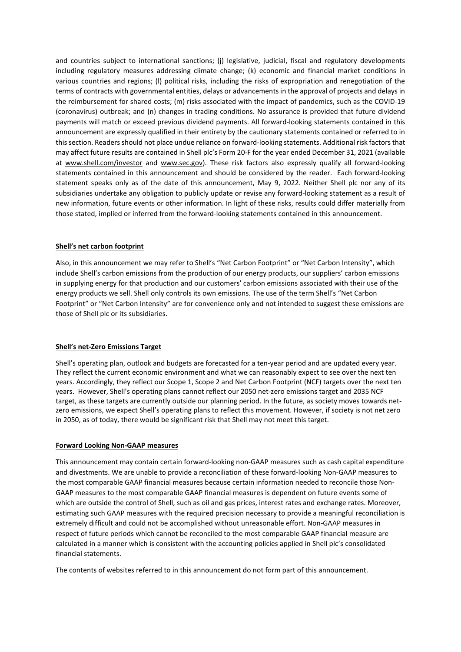and countries subject to international sanctions; (j) legislative, judicial, fiscal and regulatory developments including regulatory measures addressing climate change; (k) economic and financial market conditions in various countries and regions; (l) political risks, including the risks of expropriation and renegotiation of the terms of contracts with governmental entities, delays or advancements in the approval of projects and delays in the reimbursement for shared costs; (m) risks associated with the impact of pandemics, such as the COVID-19 (coronavirus) outbreak; and (n) changes in trading conditions. No assurance is provided that future dividend payments will match or exceed previous dividend payments. All forward-looking statements contained in this announcement are expressly qualified in their entirety by the cautionary statements contained or referred to in this section. Readers should not place undue reliance on forward-looking statements. Additional risk factors that may affect future results are contained in Shell plc's Form 20-F for the year ended December 31, 2021 (available at [www.shell.com/investor](http://www.shell.com/investor) and [www.sec.gov\)](http://www.sec.gov/). These risk factors also expressly qualify all forward-looking statements contained in this announcement and should be considered by the reader. Each forward-looking statement speaks only as of the date of this announcement, May 9, 2022. Neither Shell plc nor any of its subsidiaries undertake any obligation to publicly update or revise any forward-looking statement as a result of new information, future events or other information. In light of these risks, results could differ materially from those stated, implied or inferred from the forward-looking statements contained in this announcement.

### **Shell's net carbon footprint**

Also, in this announcement we may refer to Shell's "Net Carbon Footprint" or "Net Carbon Intensity", which include Shell's carbon emissions from the production of our energy products, our suppliers' carbon emissions in supplying energy for that production and our customers' carbon emissions associated with their use of the energy products we sell. Shell only controls its own emissions. The use of the term Shell's "Net Carbon Footprint" or "Net Carbon Intensity" are for convenience only and not intended to suggest these emissions are those of Shell plc or its subsidiaries.

### **Shell's net-Zero Emissions Target**

Shell's operating plan, outlook and budgets are forecasted for a ten-year period and are updated every year. They reflect the current economic environment and what we can reasonably expect to see over the next ten years. Accordingly, they reflect our Scope 1, Scope 2 and Net Carbon Footprint (NCF) targets over the next ten years. However, Shell's operating plans cannot reflect our 2050 net-zero emissions target and 2035 NCF target, as these targets are currently outside our planning period. In the future, as society moves towards netzero emissions, we expect Shell's operating plans to reflect this movement. However, if society is not net zero in 2050, as of today, there would be significant risk that Shell may not meet this target.

#### **Forward Looking Non-GAAP measures**

This announcement may contain certain forward-looking non-GAAP measures such as cash capital expenditure and divestments. We are unable to provide a reconciliation of these forward-looking Non-GAAP measures to the most comparable GAAP financial measures because certain information needed to reconcile those Non-GAAP measures to the most comparable GAAP financial measures is dependent on future events some of which are outside the control of Shell, such as oil and gas prices, interest rates and exchange rates. Moreover, estimating such GAAP measures with the required precision necessary to provide a meaningful reconciliation is extremely difficult and could not be accomplished without unreasonable effort. Non-GAAP measures in respect of future periods which cannot be reconciled to the most comparable GAAP financial measure are calculated in a manner which is consistent with the accounting policies applied in Shell plc's consolidated financial statements.

The contents of websites referred to in this announcement do not form part of this announcement.